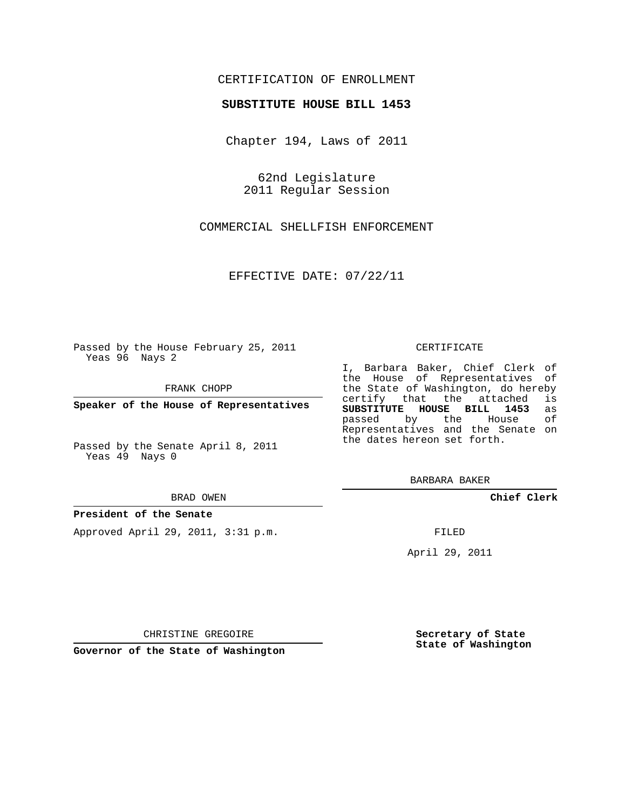### CERTIFICATION OF ENROLLMENT

#### **SUBSTITUTE HOUSE BILL 1453**

Chapter 194, Laws of 2011

62nd Legislature 2011 Regular Session

COMMERCIAL SHELLFISH ENFORCEMENT

EFFECTIVE DATE: 07/22/11

Passed by the House February 25, 2011 Yeas 96 Nays 2

FRANK CHOPP

**Speaker of the House of Representatives**

Passed by the Senate April 8, 2011 Yeas 49 Nays 0

#### BRAD OWEN

#### **President of the Senate**

Approved April 29, 2011, 3:31 p.m.

#### CERTIFICATE

I, Barbara Baker, Chief Clerk of the House of Representatives of the State of Washington, do hereby<br>certify that the attached is certify that the attached **SUBSTITUTE HOUSE BILL 1453** as passed by the Representatives and the Senate on the dates hereon set forth.

BARBARA BAKER

**Chief Clerk**

FILED

April 29, 2011

**Secretary of State State of Washington**

CHRISTINE GREGOIRE

**Governor of the State of Washington**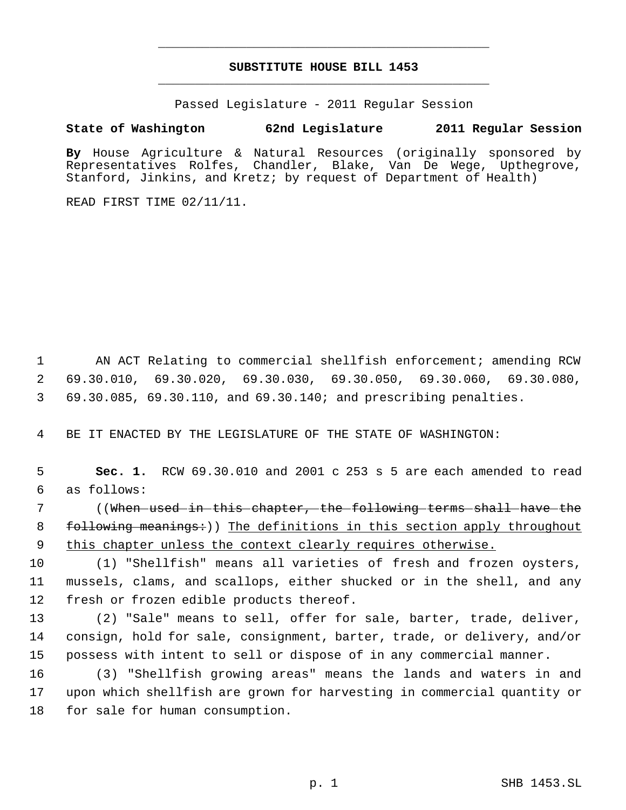# **SUBSTITUTE HOUSE BILL 1453** \_\_\_\_\_\_\_\_\_\_\_\_\_\_\_\_\_\_\_\_\_\_\_\_\_\_\_\_\_\_\_\_\_\_\_\_\_\_\_\_\_\_\_\_\_

\_\_\_\_\_\_\_\_\_\_\_\_\_\_\_\_\_\_\_\_\_\_\_\_\_\_\_\_\_\_\_\_\_\_\_\_\_\_\_\_\_\_\_\_\_

Passed Legislature - 2011 Regular Session

## **State of Washington 62nd Legislature 2011 Regular Session**

**By** House Agriculture & Natural Resources (originally sponsored by Representatives Rolfes, Chandler, Blake, Van De Wege, Upthegrove, Stanford, Jinkins, and Kretz; by request of Department of Health)

READ FIRST TIME 02/11/11.

 1 AN ACT Relating to commercial shellfish enforcement; amending RCW 2 69.30.010, 69.30.020, 69.30.030, 69.30.050, 69.30.060, 69.30.080, 3 69.30.085, 69.30.110, and 69.30.140; and prescribing penalties.

4 BE IT ENACTED BY THE LEGISLATURE OF THE STATE OF WASHINGTON:

 5 **Sec. 1.** RCW 69.30.010 and 2001 c 253 s 5 are each amended to read 6 as follows:

 7 ((When used in this chapter, the following terms shall have the 8 following meanings:)) The definitions in this section apply throughout 9 this chapter unless the context clearly requires otherwise.

10 (1) "Shellfish" means all varieties of fresh and frozen oysters, 11 mussels, clams, and scallops, either shucked or in the shell, and any 12 fresh or frozen edible products thereof.

13 (2) "Sale" means to sell, offer for sale, barter, trade, deliver, 14 consign, hold for sale, consignment, barter, trade, or delivery, and/or 15 possess with intent to sell or dispose of in any commercial manner.

16 (3) "Shellfish growing areas" means the lands and waters in and 17 upon which shellfish are grown for harvesting in commercial quantity or 18 for sale for human consumption.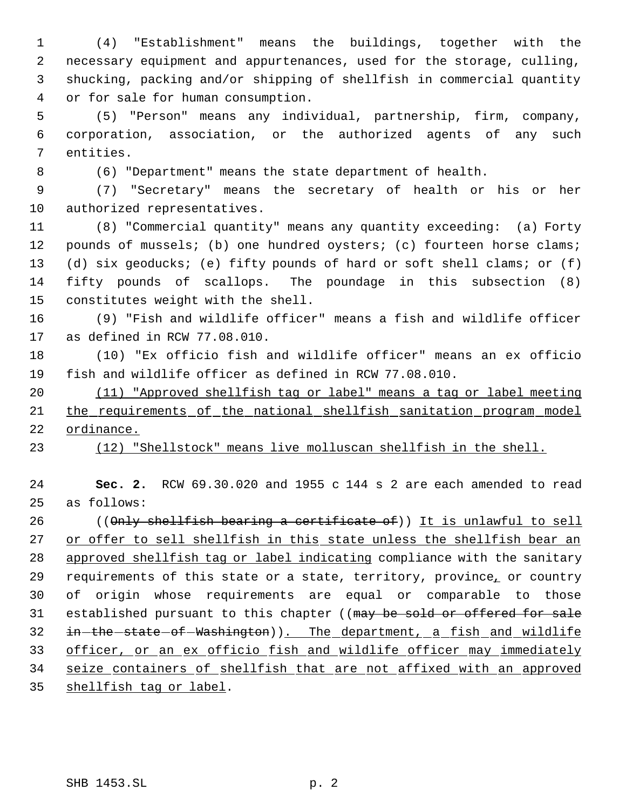(4) "Establishment" means the buildings, together with the necessary equipment and appurtenances, used for the storage, culling, shucking, packing and/or shipping of shellfish in commercial quantity or for sale for human consumption.

 (5) "Person" means any individual, partnership, firm, company, corporation, association, or the authorized agents of any such entities.

(6) "Department" means the state department of health.

 (7) "Secretary" means the secretary of health or his or her authorized representatives.

 (8) "Commercial quantity" means any quantity exceeding: (a) Forty 12 pounds of mussels; (b) one hundred oysters; (c) fourteen horse clams; (d) six geoducks; (e) fifty pounds of hard or soft shell clams; or (f) fifty pounds of scallops. The poundage in this subsection (8) constitutes weight with the shell.

 (9) "Fish and wildlife officer" means a fish and wildlife officer as defined in RCW 77.08.010.

 (10) "Ex officio fish and wildlife officer" means an ex officio fish and wildlife officer as defined in RCW 77.08.010.

 (11) "Approved shellfish tag or label" means a tag or label meeting 21 the requirements of the national shellfish sanitation program model ordinance.

(12) "Shellstock" means live molluscan shellfish in the shell.

 **Sec. 2.** RCW 69.30.020 and 1955 c 144 s 2 are each amended to read as follows:

26 ((Only shellfish bearing a certificate of)) It is unlawful to sell 27 or offer to sell shellfish in this state unless the shellfish bear an approved shellfish tag or label indicating compliance with the sanitary requirements of this state or a state, territory, province, or country of origin whose requirements are equal or comparable to those 31 established pursuant to this chapter ((may be sold or offered for sale 32 in-the-state-of-Washington)). The department, a fish and wildlife officer, or an ex officio fish and wildlife officer may immediately seize containers of shellfish that are not affixed with an approved shellfish tag or label.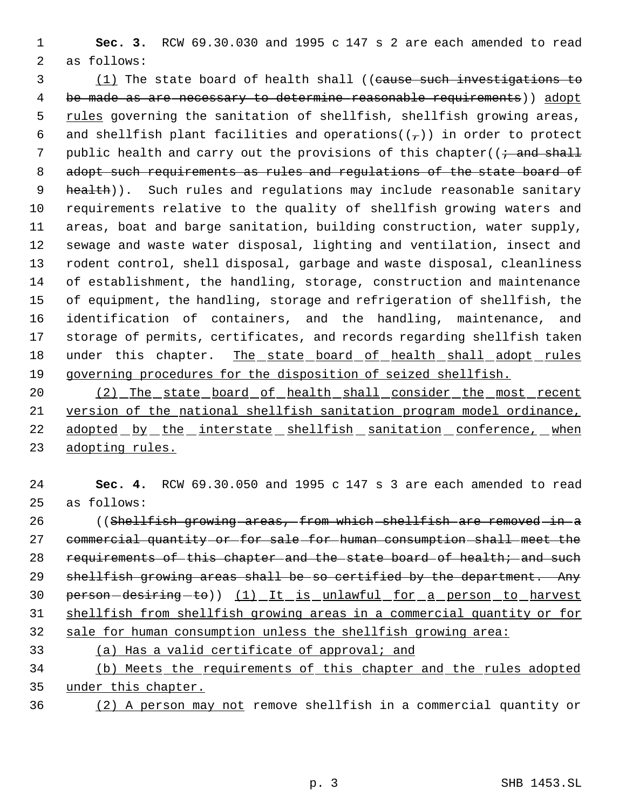**Sec. 3.** RCW 69.30.030 and 1995 c 147 s 2 are each amended to read as follows:

 (1) The state board of health shall ((cause such investigations to 4 be made as are necessary to determine reasonable requirements) adopt 5 rules governing the sanitation of shellfish, shellfish growing areas, 6 and shellfish plant facilities and operations( $(\tau)$ ) in order to protect 7 public health and carry out the provisions of this chapter( $(i \cdot$  and shall 8 adopt such requirements as rules and regulations of the state board of 9 health)). Such rules and regulations may include reasonable sanitary requirements relative to the quality of shellfish growing waters and areas, boat and barge sanitation, building construction, water supply, sewage and waste water disposal, lighting and ventilation, insect and rodent control, shell disposal, garbage and waste disposal, cleanliness of establishment, the handling, storage, construction and maintenance of equipment, the handling, storage and refrigeration of shellfish, the identification of containers, and the handling, maintenance, and storage of permits, certificates, and records regarding shellfish taken 18 under this chapter. The state board of health shall adopt rules governing procedures for the disposition of seized shellfish.

20 (2) The state board of health shall consider the most recent version of the national shellfish sanitation program model ordinance, 22 adopted by the interstate shellfish sanitation conference, when adopting rules.

 **Sec. 4.** RCW 69.30.050 and 1995 c 147 s 3 are each amended to read as follows:

26 ((Shellfish growing areas, from which shellfish are removed in a commercial quantity or for sale for human consumption shall meet the 28 requirements of this chapter and the state board of health; and such shellfish growing areas shall be so certified by the department. Any 30 person-desiring-to)) (1) It is unlawful for a person to harvest shellfish from shellfish growing areas in a commercial quantity or for sale for human consumption unless the shellfish growing area:

# (a) Has a valid certificate of approval; and

 (b) Meets the requirements of this chapter and the rules adopted under this chapter.

(2) A person may not remove shellfish in a commercial quantity or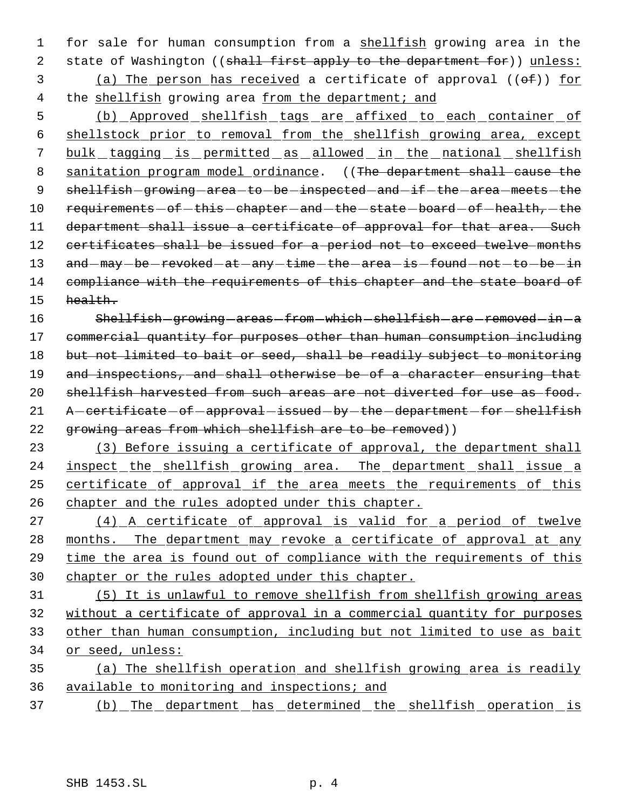1 for sale for human consumption from a shellfish growing area in the 2 state of Washington ((shall first apply to the department for)) unless: 3 (a) The person has received a certificate of approval  $((\theta \oplus f))$  for 4 the shellfish growing area from the department; and

 5 (b) Approved shellfish tags are affixed to each container of 6 shellstock prior to removal from the shellfish growing area, except 7 bulk tagging is permitted as allowed in the national shellfish 8 sanitation program model ordinance. ((The department shall cause the 9 shellfish-growing-area-to-be-inspected-and-if-the-area-meets-the 10 requirements - of - this - chapter - and - the - state - board - of - health, - the 11 department shall issue a certificate of approval for that area. Such 12 certificates shall be issued for a period not to exceed twelve months 13 and  $-may - be - revoked - at - any - time - the - area - is - found - not - to - be - in$ 14 compliance with the requirements of this chapter and the state board of 15 health.

16 Shellfish-growing-areas-from-which-shellfish-are-removed-in-a 17 commercial quantity for purposes other than human consumption including 18 but not limited to bait or seed, shall be readily subject to monitoring 19 and inspections, and shall otherwise be of a character ensuring that 20 shellfish harvested from such areas are not diverted for use as food. 21 A - certificate - of - approval - issued - by - the - department - for - shellfish 22 growing areas from which shellfish are to be removed))

23 (3) Before issuing a certificate of approval, the department shall 24 inspect the shellfish growing area. The department shall issue a 25 certificate of approval if the area meets the requirements of this 26 chapter and the rules adopted under this chapter.

27 (4) A certificate of approval is valid for a period of twelve 28 months. The department may revoke a certificate of approval at any 29 time the area is found out of compliance with the requirements of this 30 chapter or the rules adopted under this chapter.

 (5) It is unlawful to remove shellfish from shellfish growing areas without a certificate of approval in a commercial quantity for purposes other than human consumption, including but not limited to use as bait or seed, unless:

35 (a) The shellfish operation and shellfish growing area is readily 36 available to monitoring and inspections; and

37 (b) The department has determined the shellfish operation is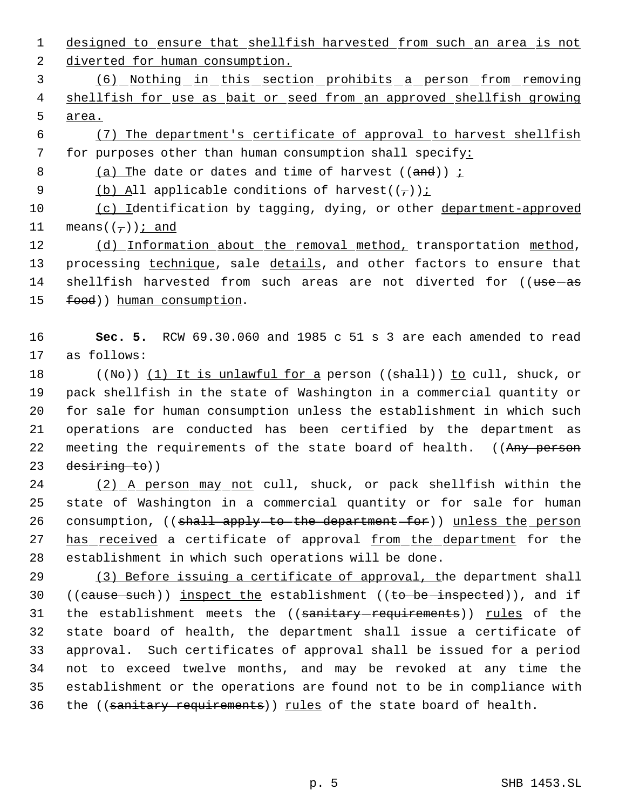1 designed to ensure that shellfish harvested from such an area is not 2 diverted for human consumption.

 3 (6) Nothing in this section prohibits a person from removing 4 shellfish for use as bait or seed from an approved shellfish growing 5 area.

 6 (7) The department's certificate of approval to harvest shellfish 7 for purposes other than human consumption shall specify:

8 (a) The date or dates and time of harvest  $((and))$  ;

9 (b) All applicable conditions of harvest( $(\tau)$ );

10 (c) Identification by tagging, dying, or other department-approved 11 means( $(-)$ ); and

12 (d) Information about the removal method, transportation method, 13 processing technique, sale details, and other factors to ensure that 14 shellfish harvested from such areas are not diverted for ((use-as 15 food)) human consumption.

16 **Sec. 5.** RCW 69.30.060 and 1985 c 51 s 3 are each amended to read 17 as follows:

18 ((No)) (1) It is unlawful for a person ((shall)) to cull, shuck, or pack shellfish in the state of Washington in a commercial quantity or for sale for human consumption unless the establishment in which such operations are conducted has been certified by the department as 22 meeting the requirements of the state board of health. ((Any person desiring to))

24 (2) A person may not cull, shuck, or pack shellfish within the 25 state of Washington in a commercial quantity or for sale for human 26 consumption, ((shall apply to the department for)) unless the person 27 has received a certificate of approval from the department for the 28 establishment in which such operations will be done.

29 (3) Before issuing a certificate of approval, the department shall 30 ((cause such)) inspect the establishment ((to be inspected)), and if 31 the establishment meets the ((sanitary-requirements)) rules of the 32 state board of health, the department shall issue a certificate of 33 approval. Such certificates of approval shall be issued for a period 34 not to exceed twelve months, and may be revoked at any time the 35 establishment or the operations are found not to be in compliance with 36 the ((sanitary requirements)) rules of the state board of health.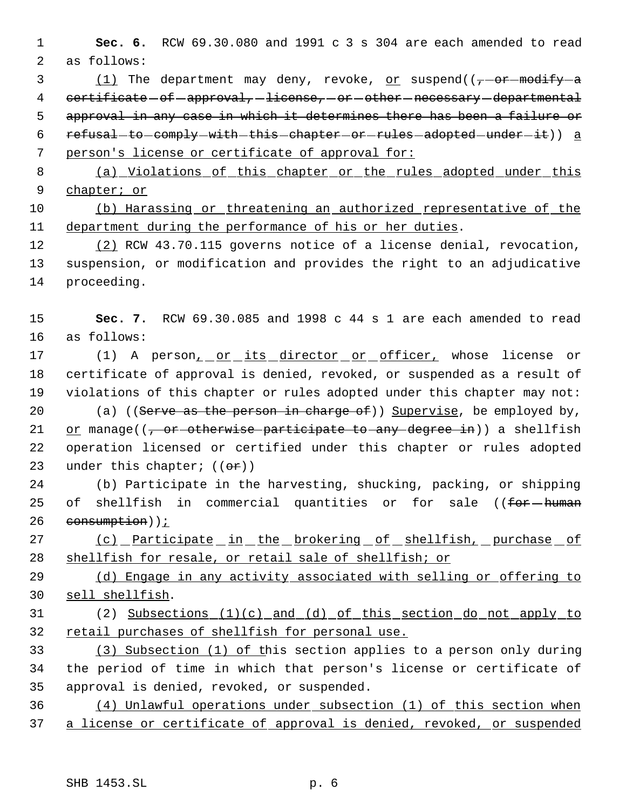**Sec. 6.** RCW 69.30.080 and 1991 c 3 s 304 are each amended to read as follows:

3  $(1)$  The department may deny, revoke, or suspend( $(-\sigma + \sigma + \sigma)$ ) 4 certificate - of - approval, - license, - or - other - necessary - departmental 5 approval in any case in which it determines there has been a failure or 6 refusal-to-comply-with-this-chapter-or-rules-adopted-under-it)) a person's license or certificate of approval for:

 (a) Violations of this chapter or the rules adopted under this chapter; or

 (b) Harassing or threatening an authorized representative of the department during the performance of his or her duties.

12 (2) RCW 43.70.115 governs notice of a license denial, revocation, suspension, or modification and provides the right to an adjudicative proceeding.

 **Sec. 7.** RCW 69.30.085 and 1998 c 44 s 1 are each amended to read as follows:

17 (1) A person<sub>1</sub> or its director or officer, whose license or certificate of approval is denied, revoked, or suspended as a result of violations of this chapter or rules adopted under this chapter may not: 20 (a) ((Serve as the person in charge of)) Supervise, be employed by,

21 or manage( $(-$  or otherwise participate to any degree in)) a shellfish operation licensed or certified under this chapter or rules adopted 23 under this chapter;  $((\theta \cdot \hat{r}))$ 

 (b) Participate in the harvesting, shucking, packing, or shipping 25 of shellfish in commercial quantities or for sale ((for human consumption));

27 (c) Participate in the brokering of shellfish, purchase of shellfish for resale, or retail sale of shellfish; or

29 (d) Engage in any activity associated with selling or offering to sell shellfish.

 (2) Subsections (1)(c) and (d) of this section do not apply to 32 retail purchases of shellfish for personal use.

 (3) Subsection (1) of this section applies to a person only during the period of time in which that person's license or certificate of approval is denied, revoked, or suspended.

 (4) Unlawful operations under subsection (1) of this section when 37 a license or certificate of approval is denied, revoked, or suspended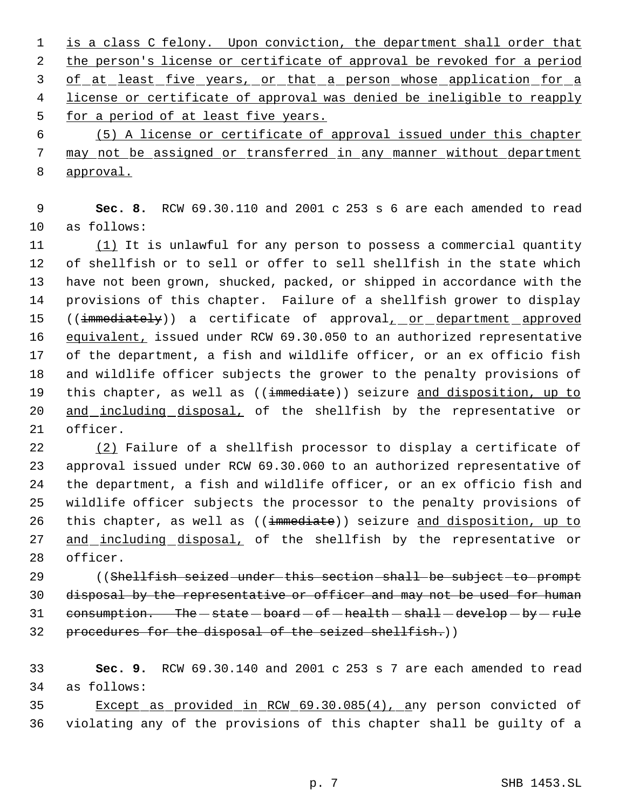1 is a class C felony. Upon conviction, the department shall order that 2 the person's license or certificate of approval be revoked for a period 3 of at least five years, or that a person whose application for a 4 license or certificate of approval was denied be ineligible to reapply 5 for a period of at least five years. 6 (5) A license or certificate of approval issued under this chapter

 7 may not be assigned or transferred in any manner without department 8 approval.

 9 **Sec. 8.** RCW 69.30.110 and 2001 c 253 s 6 are each amended to read 10 as follows:

11 (1) It is unlawful for any person to possess a commercial quantity 12 of shellfish or to sell or offer to sell shellfish in the state which 13 have not been grown, shucked, packed, or shipped in accordance with the 14 provisions of this chapter. Failure of a shellfish grower to display 15 ((immediately)) a certificate of approval<sub>1</sub> or department approved 16 equivalent, issued under RCW 69.30.050 to an authorized representative 17 of the department, a fish and wildlife officer, or an ex officio fish 18 and wildlife officer subjects the grower to the penalty provisions of 19 this chapter, as well as ((immediate)) seizure and disposition, up to 20 and including disposal, of the shellfish by the representative or 21 officer.

22 (2) Failure of a shellfish processor to display a certificate of 23 approval issued under RCW 69.30.060 to an authorized representative of 24 the department, a fish and wildlife officer, or an ex officio fish and 25 wildlife officer subjects the processor to the penalty provisions of 26 this chapter, as well as ((immediate)) seizure and disposition, up to 27 and including disposal, of the shellfish by the representative or 28 officer.

29 ((Shellfish seized under this section shall be subject to prompt 30 disposal by the representative or officer and may not be used for human 31 consumption. The  $-$  state  $-$  board  $-$  of  $-$  health  $-$  shall  $-$  develop  $-$  by  $-$  rule 32 procedures for the disposal of the seized shellfish.))

33 **Sec. 9.** RCW 69.30.140 and 2001 c 253 s 7 are each amended to read 34 as follows:

35 Except as provided in RCW 69.30.085(4), any person convicted of 36 violating any of the provisions of this chapter shall be guilty of a